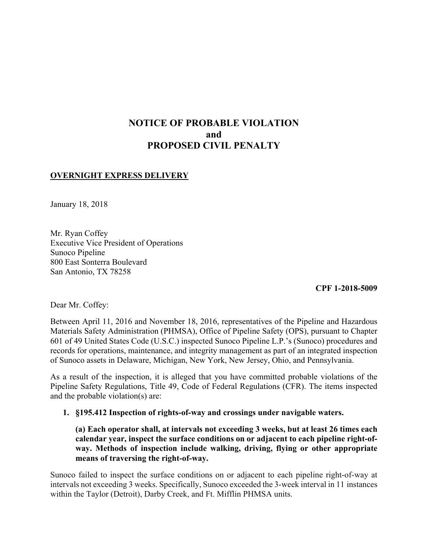# **NOTICE OF PROBABLE VIOLATION and PROPOSED CIVIL PENALTY**

# **OVERNIGHT EXPRESS DELIVERY**

January 18, 2018

Mr. Ryan Coffey Executive Vice President of Operations Sunoco Pipeline 800 East Sonterra Boulevard San Antonio, TX 78258

**CPF 1-2018-5009** 

Dear Mr. Coffey:

Between April 11, 2016 and November 18, 2016, representatives of the Pipeline and Hazardous Materials Safety Administration (PHMSA), Office of Pipeline Safety (OPS), pursuant to Chapter 601 of 49 United States Code (U.S.C.) inspected Sunoco Pipeline L.P.'s (Sunoco) procedures and records for operations, maintenance, and integrity management as part of an integrated inspection of Sunoco assets in Delaware, Michigan, New York, New Jersey, Ohio, and Pennsylvania.

As a result of the inspection, it is alleged that you have committed probable violations of the Pipeline Safety Regulations, Title 49, Code of Federal Regulations (CFR). The items inspected and the probable violation(s) are:

### **1. §195.412 Inspection of rights-of-way and crossings under navigable waters.**

**(a) Each operator shall, at intervals not exceeding 3 weeks, but at least 26 times each calendar year, inspect the surface conditions on or adjacent to each pipeline right-ofway. Methods of inspection include walking, driving, flying or other appropriate means of traversing the right-of-way.** 

Sunoco failed to inspect the surface conditions on or adjacent to each pipeline right-of-way at intervals not exceeding 3 weeks. Specifically, Sunoco exceeded the 3-week interval in 11 instances within the Taylor (Detroit), Darby Creek, and Ft. Mifflin PHMSA units.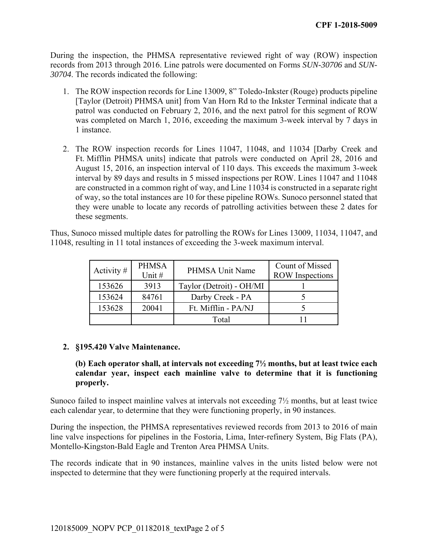During the inspection, the PHMSA representative reviewed right of way (ROW) inspection records from 2013 through 2016. Line patrols were documented on Forms *SUN-30706* and *SUN-30704*. The records indicated the following:

- 1. The ROW inspection records for Line 13009, 8" Toledo-Inkster (Rouge) products pipeline [Taylor (Detroit) PHMSA unit] from Van Horn Rd to the Inkster Terminal indicate that a patrol was conducted on February 2, 2016, and the next patrol for this segment of ROW was completed on March 1, 2016, exceeding the maximum 3-week interval by 7 days in 1 instance.
- of way, so the total instances are 10 for these pipeline ROWs. Sunoco personnel stated that 2. The ROW inspection records for Lines 11047, 11048, and 11034 [Darby Creek and Ft. Mifflin PHMSA units] indicate that patrols were conducted on April 28, 2016 and August 15, 2016, an inspection interval of 110 days. This exceeds the maximum 3-week interval by 89 days and results in 5 missed inspections per ROW. Lines 11047 and 11048 are constructed in a common right of way, and Line 11034 is constructed in a separate right they were unable to locate any records of patrolling activities between these 2 dates for these segments.

Thus, Sunoco missed multiple dates for patrolling the ROWs for Lines 13009, 11034, 11047, and 11048, resulting in 11 total instances of exceeding the 3-week maximum interval.

| Activity $#$ | <b>PHMSA</b><br>Unit $#$ | PHMSA Unit Name          | Count of Missed<br><b>ROW</b> Inspections |
|--------------|--------------------------|--------------------------|-------------------------------------------|
| 153626       | 3913                     | Taylor (Detroit) - OH/MI |                                           |
| 153624       | 84761                    | Darby Creek - PA         |                                           |
| 153628       | 20041                    | Ft. Mifflin - PA/NJ      |                                           |
|              |                          | Total                    |                                           |

### **2. §195.420 Valve Maintenance.**

## **calendar year, inspect each mainline valve to determine that it is functioning (b) Each operator shall, at intervals not exceeding 7½ months, but at least twice each properly.**

Sunoco failed to inspect mainline valves at intervals not exceeding 7½ months, but at least twice each calendar year, to determine that they were functioning properly, in 90 instances.

 line valve inspections for pipelines in the Fostoria, Lima, Inter-refinery System, Big Flats (PA), During the inspection, the PHMSA representatives reviewed records from 2013 to 2016 of main Montello-Kingston-Bald Eagle and Trenton Area PHMSA Units.

The records indicate that in 90 instances, mainline valves in the units listed below were not inspected to determine that they were functioning properly at the required intervals.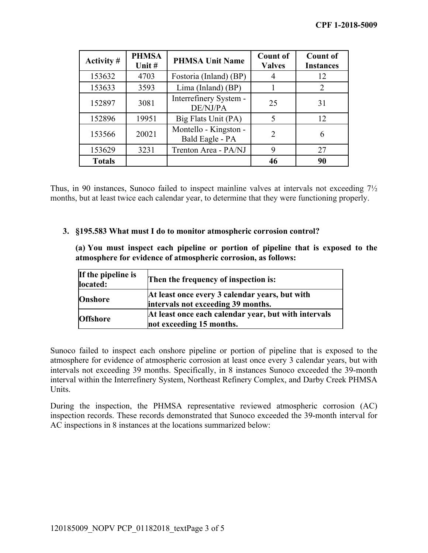| Activity #    | <b>PHMSA</b><br>Unit # | <b>PHMSA Unit Name</b>                   | <b>Count of</b><br><b>Valves</b> | <b>Count of</b><br><b>Instances</b> |
|---------------|------------------------|------------------------------------------|----------------------------------|-------------------------------------|
| 153632        | 4703                   | Fostoria (Inland) (BP)                   |                                  | 12                                  |
| 153633        | 3593                   | Lima (Inland) (BP)                       |                                  | $\mathcal{D}$                       |
| 152897        | 3081                   | Interrefinery System -<br>DE/NJ/PA       | 25                               | 31                                  |
| 152896        | 19951                  | Big Flats Unit (PA)                      | 5                                | 12                                  |
| 153566        | 20021                  | Montello - Kingston -<br>Bald Eagle - PA | $\overline{2}$                   | 6                                   |
| 153629        | 3231                   | Trenton Area - PA/NJ                     | 9                                | 27                                  |
| <b>Totals</b> |                        |                                          | 46                               | 90                                  |

Thus, in 90 instances, Sunoco failed to inspect mainline valves at intervals not exceeding 7½ months, but at least twice each calendar year, to determine that they were functioning properly.

#### **3. §195.583 What must I do to monitor atmospheric corrosion control?**

**(a) You must inspect each pipeline or portion of pipeline that is exposed to the atmosphere for evidence of atmospheric corrosion, as follows:**

| If the pipeline is<br>located: | Then the frequency of inspection is:                                                 |
|--------------------------------|--------------------------------------------------------------------------------------|
| <b>Onshore</b>                 | At least once every 3 calendar years, but with<br>intervals not exceeding 39 months. |
| <b>Offshore</b>                | At least once each calendar year, but with intervals<br>not exceeding 15 months.     |

 intervals not exceeding 39 months. Specifically, in 8 instances Sunoco exceeded the 39-month Sunoco failed to inspect each onshore pipeline or portion of pipeline that is exposed to the atmosphere for evidence of atmospheric corrosion at least once every 3 calendar years, but with interval within the Interrefinery System, Northeast Refinery Complex, and Darby Creek PHMSA Units.

 AC inspections in 8 instances at the locations summarized below: During the inspection, the PHMSA representative reviewed atmospheric corrosion (AC) inspection records. These records demonstrated that Sunoco exceeded the 39-month interval for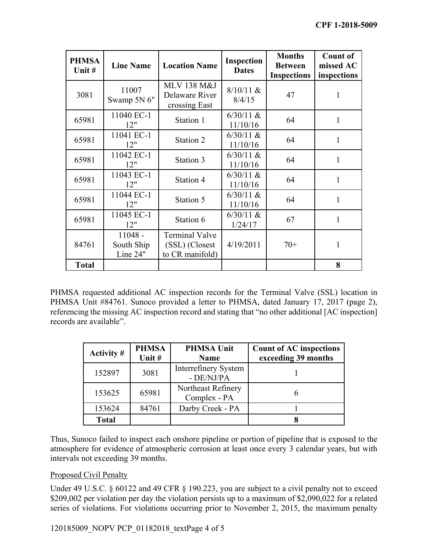| <b>PHMSA</b><br>Unit # | <b>Line Name</b>                    | <b>Location Name</b>                                       | <b>Inspection</b><br><b>Dates</b> | <b>Months</b><br><b>Between</b><br><b>Inspections</b> | <b>Count of</b><br>missed AC<br>inspections |
|------------------------|-------------------------------------|------------------------------------------------------------|-----------------------------------|-------------------------------------------------------|---------------------------------------------|
| 3081                   | 11007<br>Swamp 5N 6"                | <b>MLV 138 M&amp;J</b><br>Delaware River<br>crossing East  | $8/10/11$ &<br>8/4/15             | 47                                                    | 1                                           |
| 65981                  | 11040 EC-1<br>12"                   | Station 1                                                  | $6/30/11$ &<br>11/10/16           | 64                                                    | 1                                           |
| 65981                  | 11041 EC-1<br>12"                   | Station 2                                                  | $6/30/11$ &<br>11/10/16           | 64                                                    |                                             |
| 65981                  | 11042 EC-1<br>12"                   | Station 3                                                  | $6/30/11$ &<br>11/10/16           | 64                                                    | 1                                           |
| 65981                  | 11043 EC-1<br>12"                   | Station 4                                                  | $6/30/11$ &<br>11/10/16           | 64                                                    | 1                                           |
| 65981                  | 11044 EC-1<br>12"                   | Station 5                                                  | $6/30/11$ &<br>11/10/16           | 64                                                    | 1                                           |
| 65981                  | 11045 EC-1<br>12"                   | Station 6                                                  | $6/30/11$ &<br>1/24/17            | 67                                                    |                                             |
| 84761                  | $11048 -$<br>South Ship<br>Line 24" | <b>Terminal Valve</b><br>(SSL) (Closest<br>to CR manifold) | 4/19/2011                         | $70+$                                                 | 1                                           |
| <b>Total</b>           |                                     |                                                            |                                   |                                                       | 8                                           |

 referencing the missing AC inspection record and stating that "no other additional [AC inspection] PHMSA requested additional AC inspection records for the Terminal Valve (SSL) location in PHMSA Unit #84761. Sunoco provided a letter to PHMSA, dated January 17, 2017 (page 2), records are available".

| Activity #   | <b>PHMSA</b><br>Unit # | <b>PHMSA Unit</b><br><b>Name</b>   | <b>Count of AC inspections</b><br>exceeding 39 months |
|--------------|------------------------|------------------------------------|-------------------------------------------------------|
| 152897       | 3081                   | Interrefinery System<br>- DE/NJ/PA |                                                       |
| 153625       | 65981                  | Northeast Refinery<br>Complex - PA |                                                       |
| 153624       | 84761                  | Darby Creek - PA                   |                                                       |
| <b>Total</b> |                        |                                    |                                                       |

Thus, Sunoco failed to inspect each onshore pipeline or portion of pipeline that is exposed to the atmosphere for evidence of atmospheric corrosion at least once every 3 calendar years, but with intervals not exceeding 39 months.

# Proposed Civil Penalty

Under 49 U.S.C. § 60122 and 49 CFR § 190.223, you are subject to a civil penalty not to exceed \$209,002 per violation per day the violation persists up to a maximum of \$2,090,022 for a related series of violations. For violations occurring prior to November 2, 2015, the maximum penalty

120185009 NOPV PCP 01182018 textPage 4 of 5